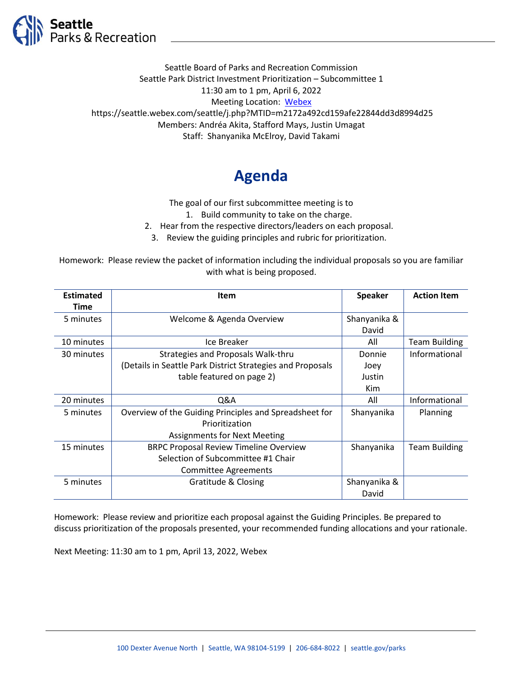

Seattle Board of Parks and Recreation Commission Seattle Park District Investment Prioritization – Subcommittee 1 11:30 am to 1 pm, April 6, 2022 Meeting Location: [Webex](https://seattle.webex.com/seattle/j.php?MTID=m2172a492cd159afe22844dd3d8994d25) https://seattle.webex.com/seattle/j.php?MTID=m2172a492cd159afe22844dd3d8994d25 Members: Andréa Akita, Stafford Mays, Justin Umagat Staff: Shanyanika McElroy, David Takami

## **Agenda**

The goal of our first subcommittee meeting is to

1. Build community to take on the charge.

2. Hear from the respective directors/leaders on each proposal.

3. Review the guiding principles and rubric for prioritization.

Homework: Please review the packet of information including the individual proposals so you are familiar with what is being proposed.

| <b>Estimated</b> | <b>Item</b>                                                | <b>Speaker</b> | <b>Action Item</b>   |
|------------------|------------------------------------------------------------|----------------|----------------------|
| <b>Time</b>      |                                                            |                |                      |
| 5 minutes        | Welcome & Agenda Overview                                  | Shanyanika &   |                      |
|                  |                                                            | David          |                      |
| 10 minutes       | Ice Breaker                                                | All            | <b>Team Building</b> |
| 30 minutes       | Strategies and Proposals Walk-thru                         | Donnie         | Informational        |
|                  | (Details in Seattle Park District Strategies and Proposals | Joey           |                      |
|                  | table featured on page 2)                                  | Justin         |                      |
|                  |                                                            | Kim            |                      |
| 20 minutes       | Q&A                                                        | All            | Informational        |
| 5 minutes        | Overview of the Guiding Principles and Spreadsheet for     | Shanyanika     | Planning             |
|                  | Prioritization                                             |                |                      |
|                  | <b>Assignments for Next Meeting</b>                        |                |                      |
| 15 minutes       | <b>BRPC Proposal Review Timeline Overview</b>              | Shanyanika     | <b>Team Building</b> |
|                  | Selection of Subcommittee #1 Chair                         |                |                      |
|                  | <b>Committee Agreements</b>                                |                |                      |
| 5 minutes        | Gratitude & Closing                                        | Shanyanika &   |                      |
|                  |                                                            | David          |                      |

Homework: Please review and prioritize each proposal against the Guiding Principles. Be prepared to discuss prioritization of the proposals presented, your recommended funding allocations and your rationale.

Next Meeting: 11:30 am to 1 pm, April 13, 2022, Webex